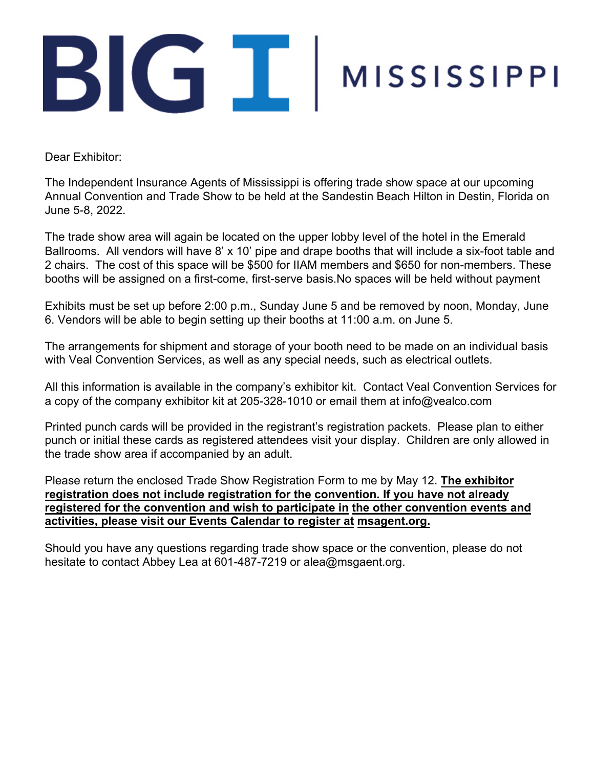## BIGIT MISSISSIPPI

Dear Exhibitor:

The Independent Insurance Agents of Mississippi is offering trade show space at our upcoming Annual Convention and Trade Show to be held at the Sandestin Beach Hilton in Destin, Florida on June 5-8, 2022.

The trade show area will again be located on the upper lobby level of the hotel in the Emerald Ballrooms. All vendors will have 8' x 10' pipe and drape booths that will include a six-foot table and 2 chairs. The cost of this space will be \$500 for IIAM members and \$650 for non-members. These booths will be assigned on a first-come, first-serve basis.No spaces will be held without payment

Exhibits must be set up before 2:00 p.m., Sunday June 5 and be removed by noon, Monday, June 6. Vendors will be able to begin setting up their booths at 11:00 a.m. on June 5.

The arrangements for shipment and storage of your booth need to be made on an individual basis with Veal Convention Services, as well as any special needs, such as electrical outlets.

All this information is available in the company's exhibitor kit. Contact Veal Convention Services for a copy of the company exhibitor kit at 205-328-1010 or email them at info@vealco.com

Printed punch cards will be provided in the registrant's registration packets. Please plan to either punch or initial these cards as registered attendees visit your display. Children are only allowed in the trade show area if accompanied by an adult.

Please return the enclosed Trade Show Registration Form to me by May 12. **The exhibitor registration does not include registration for the convention. If you have not already registered for the convention and wish to participate in the other convention events and activities, please visit our Events Calendar to register at msagent.org.**

Should you have any questions regarding trade show space or the convention, please do not hesitate to contact Abbey Lea at 601-487-7219 or alea@msgaent.org.